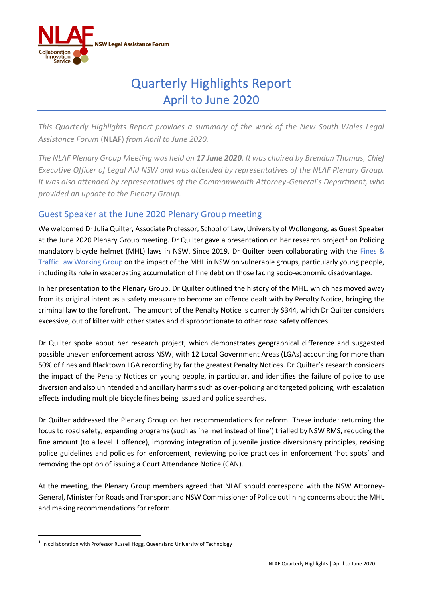

## Quarterly Highlights Report April to June 2020

*This Quarterly Highlights Report provides a summary of the work of the New South Wales Legal Assistance Forum* (**NLAF**) *from April to June 2020.* 

*The NLAF Plenary Group Meeting was held on 17 June 2020. It was chaired by Brendan Thomas, Chief Executive Officer of Legal Aid NSW and was attended by representatives of the NLAF Plenary Group. It was also attended by representatives of the Commonwealth Attorney-General's Department, who provided an update to the Plenary Group.* 

## Guest Speaker at the June 2020 Plenary Group meeting

We welcomed Dr Julia Quilter, Associate Professor, School of Law, University of Wollongong, as Guest Speaker at the June 2020 Plenary Group meeting. Dr Quilter gave a presentation on her research project<sup>1</sup> on Policing mandatory bicycle helmet (MHL) laws in NSW. Since 2019, Dr Quilter been collaborating with the Fines & Traffic Law Working Group on the impact of the MHL in NSW on vulnerable groups, particularly young people, including its role in exacerbating accumulation of fine debt on those facing socio-economic disadvantage.

In her presentation to the Plenary Group, Dr Quilter outlined the history of the MHL, which has moved away from its original intent as a safety measure to become an offence dealt with by Penalty Notice, bringing the criminal law to the forefront. The amount of the Penalty Notice is currently \$344, which Dr Quilter considers excessive, out of kilter with other states and disproportionate to other road safety offences.

Dr Quilter spoke about her research project, which demonstrates geographical difference and suggested possible uneven enforcement across NSW, with 12 Local Government Areas (LGAs) accounting for more than 50% of fines and Blacktown LGA recording by far the greatest Penalty Notices. Dr Quilter's research considers the impact of the Penalty Notices on young people, in particular, and identifies the failure of police to use diversion and also unintended and ancillary harms such as over-policing and targeted policing, with escalation effects including multiple bicycle fines being issued and police searches.

Dr Quilter addressed the Plenary Group on her recommendations for reform. These include: returning the focus to road safety, expanding programs (such as 'helmet instead of fine') trialled by NSW RMS, reducing the fine amount (to a level 1 offence), improving integration of juvenile justice diversionary principles, revising police guidelines and policies for enforcement, reviewing police practices in enforcement 'hot spots' and removing the option of issuing a Court Attendance Notice (CAN).

At the meeting, the Plenary Group members agreed that NLAF should correspond with the NSW Attorney-General, Minister for Roads and Transport and NSW Commissioner of Police outlining concerns about the MHL and making recommendations for reform.

 $<sup>1</sup>$  In collaboration with Professor Russell Hogg, Queensland University of Technology</sup>